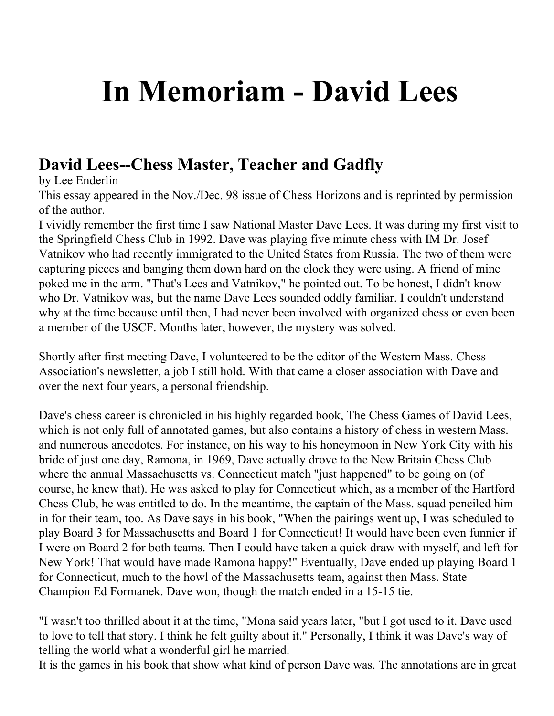## **In Memoriam - David Lees**

## **David Lees--Chess Master, Teacher and Gadfly**

by Lee Enderlin

This essay appeared in the Nov./Dec. 98 issue of Chess Horizons and is reprinted by permission of the author.

I vividly remember the first time I saw National Master Dave Lees. It was during my first visit to the Springfield Chess Club in 1992. Dave was playing five minute chess with IM Dr. Josef Vatnikov who had recently immigrated to the United States from Russia. The two of them were capturing pieces and banging them down hard on the clock they were using. A friend of mine poked me in the arm. "That's Lees and Vatnikov," he pointed out. To be honest, I didn't know who Dr. Vatnikov was, but the name Dave Lees sounded oddly familiar. I couldn't understand why at the time because until then, I had never been involved with organized chess or even been a member of the USCF. Months later, however, the mystery was solved.

Shortly after first meeting Dave, I volunteered to be the editor of the Western Mass. Chess Association's newsletter, a job I still hold. With that came a closer association with Dave and over the next four years, a personal friendship.

Dave's chess career is chronicled in his highly regarded book, The Chess Games of David Lees, which is not only full of annotated games, but also contains a history of chess in western Mass. and numerous anecdotes. For instance, on his way to his honeymoon in New York City with his bride of just one day, Ramona, in 1969, Dave actually drove to the New Britain Chess Club where the annual Massachusetts vs. Connecticut match "just happened" to be going on (of course, he knew that). He was asked to play for Connecticut which, as a member of the Hartford Chess Club, he was entitled to do. In the meantime, the captain of the Mass. squad penciled him in for their team, too. As Dave says in his book, "When the pairings went up, I was scheduled to play Board 3 for Massachusetts and Board 1 for Connecticut! It would have been even funnier if I were on Board 2 for both teams. Then I could have taken a quick draw with myself, and left for New York! That would have made Ramona happy!" Eventually, Dave ended up playing Board 1 for Connecticut, much to the howl of the Massachusetts team, against then Mass. State Champion Ed Formanek. Dave won, though the match ended in a 15-15 tie.

"I wasn't too thrilled about it at the time, "Mona said years later, "but I got used to it. Dave used to love to tell that story. I think he felt guilty about it." Personally, I think it was Dave's way of telling the world what a wonderful girl he married.

It is the games in his book that show what kind of person Dave was. The annotations are in great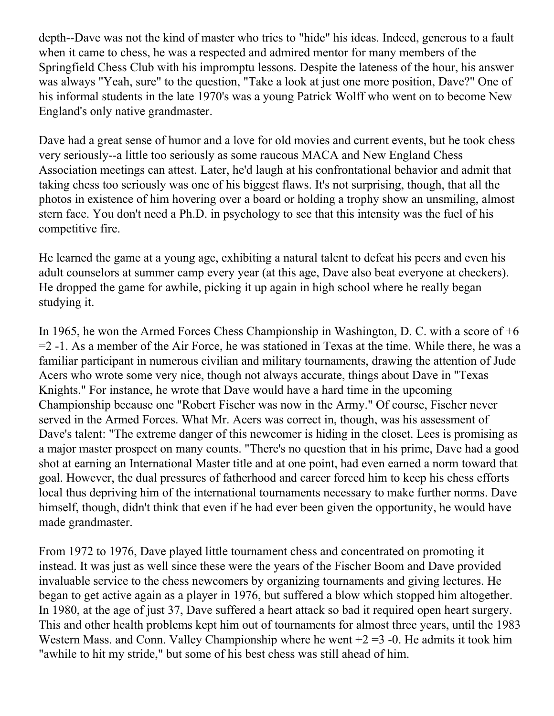depth--Dave was not the kind of master who tries to "hide" his ideas. Indeed, generous to a fault when it came to chess, he was a respected and admired mentor for many members of the Springfield Chess Club with his impromptu lessons. Despite the lateness of the hour, his answer was always "Yeah, sure" to the question, "Take a look at just one more position, Dave?" One of his informal students in the late 1970's was a young Patrick Wolff who went on to become New England's only native grandmaster.

Dave had a great sense of humor and a love for old movies and current events, but he took chess very seriously--a little too seriously as some raucous MACA and New England Chess Association meetings can attest. Later, he'd laugh at his confrontational behavior and admit that taking chess too seriously was one of his biggest flaws. It's not surprising, though, that all the photos in existence of him hovering over a board or holding a trophy show an unsmiling, almost stern face. You don't need a Ph.D. in psychology to see that this intensity was the fuel of his competitive fire.

He learned the game at a young age, exhibiting a natural talent to defeat his peers and even his adult counselors at summer camp every year (at this age, Dave also beat everyone at checkers). He dropped the game for awhile, picking it up again in high school where he really began studying it.

In 1965, he won the Armed Forces Chess Championship in Washington, D. C. with a score of +6 =2 -1. As a member of the Air Force, he was stationed in Texas at the time. While there, he was a familiar participant in numerous civilian and military tournaments, drawing the attention of Jude Acers who wrote some very nice, though not always accurate, things about Dave in "Texas Knights." For instance, he wrote that Dave would have a hard time in the upcoming Championship because one "Robert Fischer was now in the Army." Of course, Fischer never served in the Armed Forces. What Mr. Acers was correct in, though, was his assessment of Dave's talent: "The extreme danger of this newcomer is hiding in the closet. Lees is promising as a major master prospect on many counts. "There's no question that in his prime, Dave had a good shot at earning an International Master title and at one point, had even earned a norm toward that goal. However, the dual pressures of fatherhood and career forced him to keep his chess efforts local thus depriving him of the international tournaments necessary to make further norms. Dave himself, though, didn't think that even if he had ever been given the opportunity, he would have made grandmaster.

From 1972 to 1976, Dave played little tournament chess and concentrated on promoting it instead. It was just as well since these were the years of the Fischer Boom and Dave provided invaluable service to the chess newcomers by organizing tournaments and giving lectures. He began to get active again as a player in 1976, but suffered a blow which stopped him altogether. In 1980, at the age of just 37, Dave suffered a heart attack so bad it required open heart surgery. This and other health problems kept him out of tournaments for almost three years, until the 1983 Western Mass. and Conn. Valley Championship where he went  $+2 = 3 -0$ . He admits it took him "awhile to hit my stride," but some of his best chess was still ahead of him.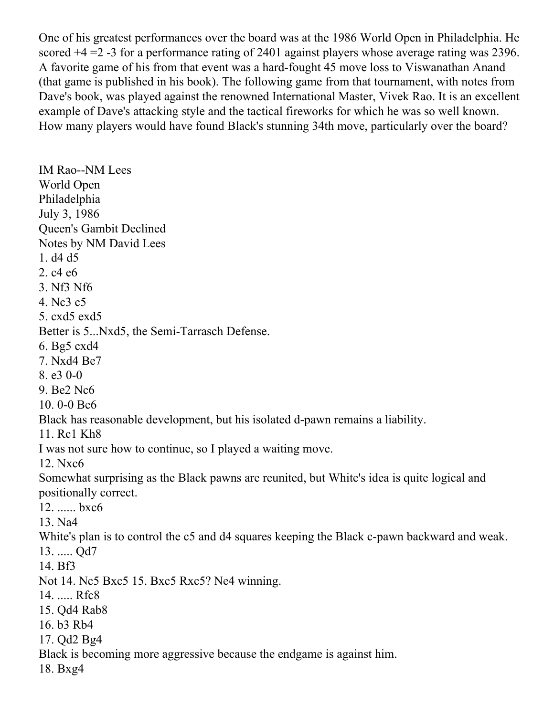One of his greatest performances over the board was at the 1986 World Open in Philadelphia. He scored +4 =2 -3 for a performance rating of 2401 against players whose average rating was 2396. A favorite game of his from that event was a hard-fought 45 move loss to Viswanathan Anand (that game is published in his book). The following game from that tournament, with notes from Dave's book, was played against the renowned International Master, Vivek Rao. It is an excellent example of Dave's attacking style and the tactical fireworks for which he was so well known. How many players would have found Black's stunning 34th move, particularly over the board?

IM Rao--NM Lees World Open Philadelphia July 3, 1986 Queen's Gambit Declined Notes by NM David Lees 1. d4 d5 2. c4 e6 3. Nf3 Nf6 4. Nc3 c5 5. cxd5 exd5 Better is 5...Nxd5, the Semi-Tarrasch Defense. 6. Bg5 cxd4 7. Nxd4 Be7 8. e3 0-0 9. Be2 Nc6 10. 0-0 Be6 Black has reasonable development, but his isolated d-pawn remains a liability. 11. Rc1 Kh8 I was not sure how to continue, so I played a waiting move. 12. Nxc6 Somewhat surprising as the Black pawns are reunited, but White's idea is quite logical and positionally correct. 12. ...... bxc6 13. Na4 White's plan is to control the c5 and d4 squares keeping the Black c-pawn backward and weak. 13. ..... Qd7 14. Bf3 Not 14. Nc5 Bxc5 15. Bxc5 Rxc5? Ne4 winning. 14. ..... Rfc8 15. Qd4 Rab8 16. b3 Rb4 17. Qd2 Bg4 Black is becoming more aggressive because the endgame is against him. 18. Bxg4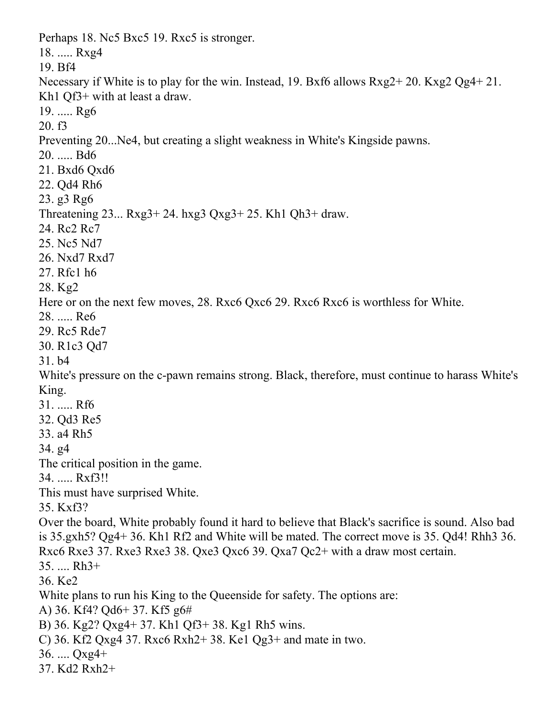Perhaps 18. Nc5 Bxc5 19. Rxc5 is stronger. 18. ..... Rxg4 19. Bf4 Necessary if White is to play for the win. Instead, 19. Bxf6 allows Rxg2+ 20. Kxg2 Qg4+ 21. Kh1 Qf3+ with at least a draw. 19. ..... Rg6 20. f3 Preventing 20...Ne4, but creating a slight weakness in White's Kingside pawns. 20. ..... Bd6 21. Bxd6 Qxd6 22. Qd4 Rh6 23. g3 Rg6 Threatening 23... Rxg3+ 24. hxg3 Qxg3+ 25. Kh1 Qh3+ draw. 24. Rc2 Rc7 25. Nc5 Nd7 26. Nxd7 Rxd7 27. Rfc1 h6 28. Kg2 Here or on the next few moves, 28. Rxc6 Qxc6 29. Rxc6 Rxc6 is worthless for White. 28. ..... Re6 29. Rc5 Rde7 30. R1c3 Qd7 31. b4 White's pressure on the c-pawn remains strong. Black, therefore, must continue to harass White's King. 31. ..... Rf6 32. Qd3 Re5 33. a4 Rh5 34. g4 The critical position in the game. 34. ..... Rxf3!! This must have surprised White. 35. Kxf3? Over the board, White probably found it hard to believe that Black's sacrifice is sound. Also bad is 35.gxh5? Qg4+ 36. Kh1 Rf2 and White will be mated. The correct move is 35. Qd4! Rhh3 36. Rxc6 Rxe3 37. Rxe3 Rxe3 38. Qxe3 Qxc6 39. Qxa7 Qc2+ with a draw most certain. 35. .... Rh3+ 36. Ke2 White plans to run his King to the Queenside for safety. The options are: A) 36. Kf4? Qd6+ 37. Kf5 g6# B) 36. Kg2? Qxg4+ 37. Kh1 Qf3+ 38. Kg1 Rh5 wins.

- C) 36. Kf2 Qxg4 37. Rxc6 Rxh2+ 38. Ke1 Qg3+ and mate in two.
- 36. .... Qxg4+
- 37. Kd2 Rxh2+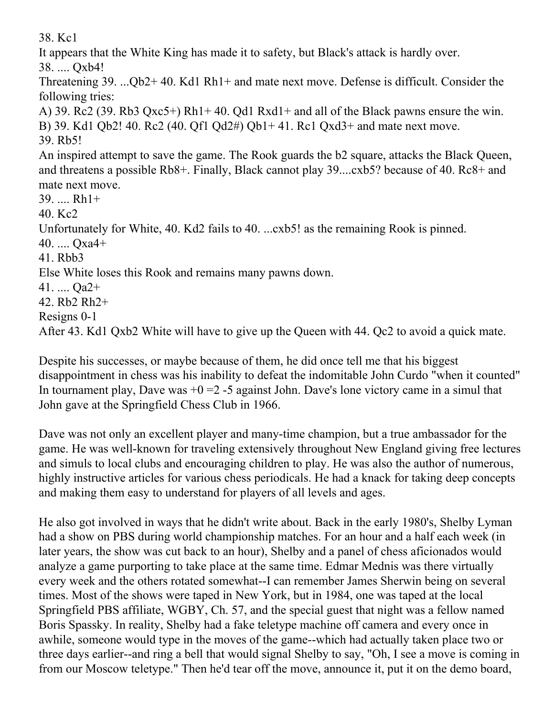38. Kc1

It appears that the White King has made it to safety, but Black's attack is hardly over.

38. .... Qxb4!

Threatening 39. ...Qb2+ 40. Kd1 Rh1+ and mate next move. Defense is difficult. Consider the following tries:

A) 39. Rc2 (39. Rb3 Qxc5+) Rh1+ 40. Qd1 Rxd1+ and all of the Black pawns ensure the win. B) 39. Kd1 Qb2! 40. Rc2 (40. Qf1 Qd2#) Qb1+ 41. Rc1 Qxd3+ and mate next move. 39. Rb5! An inspired attempt to save the game. The Rook guards the b2 square, attacks the Black Queen, and threatens a possible Rb8+. Finally, Black cannot play 39....cxb5? because of 40. Rc8+ and mate next move. 39. .... Rh1+ 40. Kc2 Unfortunately for White, 40. Kd2 fails to 40. ...cxb5! as the remaining Rook is pinned. 40. .... Qxa4+ 41. Rbb3 Else White loses this Rook and remains many pawns down. 41. .... Qa2+ 42. Rb2 Rh2+ Resigns 0-1 After 43. Kd1 Qxb2 White will have to give up the Queen with 44. Qc2 to avoid a quick mate.

Despite his successes, or maybe because of them, he did once tell me that his biggest disappointment in chess was his inability to defeat the indomitable John Curdo "when it counted" In tournament play, Dave was  $+0 = 2 -5$  against John. Dave's lone victory came in a simul that John gave at the Springfield Chess Club in 1966.

Dave was not only an excellent player and many-time champion, but a true ambassador for the game. He was well-known for traveling extensively throughout New England giving free lectures and simuls to local clubs and encouraging children to play. He was also the author of numerous, highly instructive articles for various chess periodicals. He had a knack for taking deep concepts and making them easy to understand for players of all levels and ages.

He also got involved in ways that he didn't write about. Back in the early 1980's, Shelby Lyman had a show on PBS during world championship matches. For an hour and a half each week (in later years, the show was cut back to an hour), Shelby and a panel of chess aficionados would analyze a game purporting to take place at the same time. Edmar Mednis was there virtually every week and the others rotated somewhat--I can remember James Sherwin being on several times. Most of the shows were taped in New York, but in 1984, one was taped at the local Springfield PBS affiliate, WGBY, Ch. 57, and the special guest that night was a fellow named Boris Spassky. In reality, Shelby had a fake teletype machine off camera and every once in awhile, someone would type in the moves of the game--which had actually taken place two or three days earlier--and ring a bell that would signal Shelby to say, "Oh, I see a move is coming in from our Moscow teletype." Then he'd tear off the move, announce it, put it on the demo board,